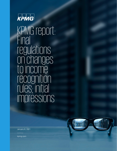

KPMG report: Final regulations on changes to income recognition rules; initial impressions



January 6, 2021

kpmg.com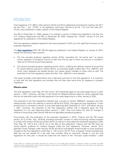## **Introduction**

Final regulations (T.D. 9941) under sections 451(b) and 451(c) addressing amendments made by the 2017 tax law (Pub. L. No. 115-97), or the legislation commonly referred to as the "Tax Cuts and Jobs Act" (TCJA), were published in today's edition of the Federal Register.

The IRS on December 21, 2020, posted to its website a version of these final regulations, and then the U.S. Treasury Department and IRS on December 30, 2020, released the "official" version of the final regulations for publication in the Federal Register.

The final regulations adopted regulations that were proposed in 2019, but with significant revisions to the proposed regulations.

The **[final regulations](https://www.govinfo.gov/content/pkg/FR-2021-01-06/pdf/2020-28653.pdf)** [PDF 481 KB] (54 pages as published in the Federal Register on January 6, 2021) include the following major sections:

- The first provides guidance regarding section 451(b), amending the "all events test" to require certain taxpayers to recognize income no later than the tax year in which the amount is included in revenue for financial accounting purposes.
- The second provides guidance regarding section 451(c), codifying the deferral method of accounting for certain advance payments. Section 451(c), as amended, largely codifies Rev. Proc. 2004-34, with which many taxpayers are already familiar, but makes certain changes to those rules as well. The preamble to the final regulations states that Rev. Proc. 2004-34 is now obsolete.

This report provides initial observations and a high-level summary of the final regulations. It is important to note that the final regulations are complex and will likely take some time for taxpayers to properly implement.

#### **Effective dates**

The final regulations under Reg. §§1.451-3 and 1.451-8 generally apply for tax years beginning on or after January 1, 2021. However, see Reg. §1.451-3(n)(2) for delayed effective dates for certain specified fees that are not specified credit card fees applying for tax years beginning on or after January 6, 2022.

The preamble to the final regulations indicates that, pursuant to section 7805(b)(7), taxpayers and their related parties, within the meaning of sections 267(b) and 707(b), may apply the final regulations, in their entirety and in a consistent manner, to a tax year beginning after December 31, 2017, and before January 1, 2021. However, the preamble to the final regulations clarifies that if taxpayers apply the final regulations to a tax year beginning before January 1, 2021, they must follow the rules for changes in method of accounting under section 446 and the applicable procedural guidance.

Concurrently with the publication of the proposed regulations in 2019, Treasury and the IRS issued section 16.12 of Rev. Proc. 2019-43, providing automatic consent to make accounting method changes to comply with section 451(b) and section 451(c) as well as to early adopt the proposed regulations under Prop. Reg. §§ 1.451-3 and 1.451-8. As of the date of this publication, Treasury and the IRS have not issued specific guidance for method changes under the final regulations. However, section 16.12 generally covers changes under sections 451(b) and 451(c) and appears broad enough to cover automatic changes to the final regulations under Reg. § 1.451-3 and 1.451-8. Thus, a taxpayer whose extended due date has not yet passed for a tax year may consider filing an automatic change to use the final regulations for that year. It should be noted that the waiver of the "five-year scope limitation" under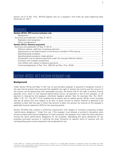section 16.12 of Rev. Proc. 2019-43 applies only for a taxpayer's first three tax years beginning after December 31, 2017.

## Contents

| --------- |  |
|-----------|--|
|           |  |
|           |  |
|           |  |
|           |  |
|           |  |
|           |  |
|           |  |
|           |  |
|           |  |
|           |  |
|           |  |
|           |  |
|           |  |
|           |  |
|           |  |

## <span id="page-2-0"></span>Section 451(b): AFS income inclusion rule

### <span id="page-2-1"></span>**Background**

Under section 451(a) and Reg. §1.451-1(a), an accrual basis taxpayer is required to recognize income in the year that all events have occurred that establish the right to receive the income and the amount of the income can be determined with reasonable accuracy. All events that fix the right to receive income generally occur when (1) the required performance occurs; (2) payment is due to the taxpayer; or (3) payment is received by the taxpayer, whichever happens earliest. See, for example, Rev. Rul. 84-31, 1984-1 C.B. 127. The 2017 TCJA modified the all events test by adding section 451(b), which provides that the all events test with respect to an item of gross income (or portion thereof) is deemed to be satisfied no later than the year in which that amount is taken into account as revenue on the taxpayer's applicable financial statement (AFS) for the reporting period.

Section 451(b)(4) also creates a conformity requirement with respect to contracts containing multiple "performance obligations." Under this rule, if the taxpayer must allocate a contract's transaction price among multiple performance obligations for book purposes, the taxpayer must make the same allocation among the same performance obligations for tax purposes. Mandating the same allocations for tax purposes promotes accuracy in matching the book inclusions for specific items of revenue with the corresponding gross income required to be accelerated for tax.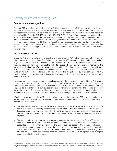### <span id="page-3-0"></span>Summary and explanation of Reg. §1.451-3

### <span id="page-3-1"></span>**Realization and recognition**

Footnote 872 of the Conference Report to the TCJA states that section 451(b) was not intended to revise the rules associated with when an item is realized for federal income tax purposes and does not require the recognition of income in situations where the federal income tax realization event has not taken place. See H.R. Rep. No. 115-466, at 428 fn. 872 (2017) (Conf. Rep.). The proposed regulations did not explicitly distinguish between the realization and recognition of income, but instead proposed a rule that amounts subject to the occurrence of future contingencies as of the end of the tax year were not subject to inclusion under section 451(b). The final regulations do not include the future contingencies rule as it existed in the proposed regulations and decline to use the amounts realized concept. Instead, the final regulations focus on the appropriate tax year of inclusion under a new standard called the "AFS income inclusion rule."

#### **AFS income inclusion rule**

Under the AFS income inclusion rule, the all events test under §1.451-1(a) is treated as met no later than when that item, or portion thereof, is "taken into account as AFS revenue." In determining when an item of gross income is "taken into account as AFS revenue," AFS revenue is reduced by amounts that the taxpayer **does not have an enforceable right to recover if the customer were to terminate the contract on the last day of the tax year** [emphasis added]. Whether a taxpayer has an enforceable right to recover amounts of AFS revenue is governed by the terms of the contract and applicable federal, state, or international law, and includes amounts recoverable in equity and liquidated damages. The AFS income inclusion rule applies only to taxpayers having an AFS for the entire tax year, determined on a year-by-year basis.

To reduce compliance burdens, the final regulations provide for an alternative method to the AFS income inclusion rule that allows a taxpayer to more closely align its tax and AFS methods. Under the "alternative AFS revenue method," a taxpayer does not reduce AFS revenue by amounts that the taxpayer lacks an enforceable right to recover if the customer were to terminate the contract on the last day of the tax year. The alternative AFS revenue method is a method of accounting and must be applied to all items of gross income in the trade or business that are subject to the AFS income inclusion rule.

Whether a taxpayer uses the AFS income inclusion rule or the alternative AFS revenue method, two adjustments must be made to AFS revenue in determining whether an item of gross income is taken in account as AFS revenue.

- The first adjustment requires the taxpayer to disregard any increase in the transaction price as a result of a significant financing component being included on the AFS. Under ASC 606, a significant financing component may be included in the AFS transaction price as a result of delays between payment and the transfer of control criteria and generally require imputed interest income and expense.
- The second adjustment requires the taxpayer to increase the transaction price if the AFS transaction price is reduced by (1) amounts that are cost of goods sold or liabilities that are required to be accounted for under other provisions of the Code, such as section 461, including liabilities for allowances, rebates, chargebacks, rewards issued in credit card and other transactions and other reward programs, and refunds (for example, estimated returns based on historic practice), regardless of when any such amount is incurred (Liability Amounts); or (2) amounts anticipated to be in dispute or anticipated to be uncollectable.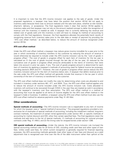It is important to note that the AFS income inclusion rule applies to the sale of goods. Under the proposed regulations, a taxpayer may have taken the position that section 451(b) did not apply to inventory sales because there was no amount realized until the sale took place, whether at title transfer, shipment, delivery, or acceptance. The final regulations make it clear that section 451(b) applies to inventory sales and that taxpayer may not rely on the amount realized concept to defer the recognition of revenue until the inventory is treated as sold. A taxpayer that is currently deferring the revenue and related cost of goods sold until the inventory is sold will have to change its method of accounting to comply with the final regulations. However, the final regulations alleviate the potentially harsh results of recognizing revenue from inventory sales prior to the sale date or receipt of payment by providing the "AFS cost offset method," as described below, to reduce the amount of revenue recognized under section 451(b).

### **AFS cost offset method**

Under the AFS cost offset method, a taxpayer may reduce gross income includible for a year prior to the year in which ownership of inventory transfers to the customer by reducing the amount of revenue it would otherwise be required to include under the AFS income inclusion rule by the "cost of goods in progress offset." The cost of goods in progress offset for each item of inventory for the tax year is calculated as (1) the cost of goods incurred through the last day of the tax year, (2) reduced by the cumulative cost of goods in progress offset amounts attributable to the items of inventory that were taken into account in prior tax years, if any. The cost of goods progress amount is determined for each item of inventory by applying a taxpayer's methods of accounting used for federal income tax purposes, including sections 263A and 471. However, the cost of goods in progress offset cannot reduce the AFS inventory inclusion amount for the item of inventory below zero. A taxpayer that defers revenue prior to the sale under the AFS cost offset method will generally include that revenue in the tax year in which ownership of the item of inventory is transferred to the customer.

The AFS cost offset method does not modify the rules for determining when costs are allocated to and included in inventory under sections 461, 471, and 263A. Thus, the AFS cost offset method applies only to reduce the amount of income included under the AFS income inclusion rule. Costs allocated to inventory will continue to be recovered through COGS in the year they are treated as sold in accordance with the taxpayer's inventory cost flow assumption. The AFS cost offset method is a method of accounting that must be applied to all items of income eligible for the AFS cost offset method in the taxpayer's trade or business. In addition, a taxpayer using the AFS cost offset method must also use the AFS cost offset method for advance payments under Reg. §1.451-8(e).

### <span id="page-4-0"></span>**Other considerations**

**Special methods of accounting**—The AFS income inclusion rule is inapplicable to any item of income for which the taxpayer uses a "special method of accounting." The proposed regulations provided a nonexclusive list of examples of special methods of accounting, including the installment method, long-term contract methods, the treatment of certain rental agreements under section 467, or specific methods of accounting for market discount and OID, other than certain specified fees. The final regulations retain the methods and add items to the list of special methods: (1) methods of accounting for notional principal contracts under Reg. §1.446-3, and (2) the timing rules for stripped bonds under section 1286.

**OID special methods of accounting**—Under the statute, the AFS income inclusion rule trumped the special accounting method rules for all forms of OID, including credit card fees and other types of loan fees. Unlike credit card fees, for which current recognition is generally required for financial reporting purposes, the AFS accounting methods generally treat other types of loan fees and discount as a yield adjustment that is recognized over time over the life of the debt instrument rather than upfront at the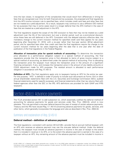time the loan closes. In recognition of the complexities that would result from differences in timing for fees that are recognized over time for both financial and tax purposes, the proposed and final regulations limit the AFS income inclusion rule to specified fees, which includes credit card fees and other fees that are not treated as a yield adjustment. As a result, taxpayers may continue to use a different OID method for tax purposes that may in some cases result in a longer deferral than the AFS method in the case of fees that are treated as a yield adjustment in the AFS.

The final regulations expand the scope of the OID exclusion to fees that may not be treated as a yield adjustment over the life of the instrument, but over a shorter period, such as a promotional discount, since these fees are still deferred in the AFS. Consistent with the delayed statutory effective date, the mandatory change to the current inclusion method for specified credit card fees applies for tax years beginning after December 31, 2018, with a six-year rather than four-year section 481(a) adjustment period, and for specified fees other than credit card fees the final regulations require the change to the current inclusion method for tax years beginning after the date that is one year after the date of publication of the final regulations in the Federal Register.

**Allocation of transaction price for special methods of accounting**—To determine the transaction price allocated to a performance obligation subject to a special method of accounting, the final regulations provide that the transaction price is first allocated to items of gross income subject to a special method of accounting, as determined under the special method of accounting. Prior to allocating the transaction price the taxpayer must reduce the transaction price in the amount of a significant financing component, if any, and increase the transaction price in the amount of any liability amounts or COGS adjustment made for AFS purposes. The residual amount is allocated to each performance obligation in accordance with Reg. §1.451-3.

**Definition of AFS**—The final regulations apply only to taxpayers having an AFS for the entire tax year. For this purpose, "AFS" is defined in order of priority to include such documents as Forms 10-K or other annual shareholder statements filed with the U.S. Securities and Exchange Commission (SEC); audited financial statements used for specific purposes; and financial statements other than tax returns filed with federal agencies other than the SEC or the IRS. AFS definitions are provided for both GAAP and IFRS taxpayers.

## <span id="page-5-0"></span>Section 451(c): Advance payments

The TCJA amended section 451 to add subsection (c), which essentially codified the deferral method of accounting for advance payments for goods and services under Rev. Proc. 2004-34, which is now obsolete. This rule permitted a one-year deferral beyond the year of receipt of certain advance payments. Treasury and the IRS have issued Reg. § 1.451-8 concerning advance payments for goods, services, and other items, which generally incorporates the language and rules as described in Rev. Proc. 2004-34.

### <span id="page-5-1"></span>Summary and explanation of Reg. §1.451-8

### <span id="page-5-2"></span>**Deferral method—definition of advance payment**

The final regulations—consistent with section 451(c)(1)(B)—provide that an accrual method taxpayer with an AFS who receives an advance payment may use the one-year deferral method. Under the deferral method, the taxpayer must include an advance payment in income in the year of receipt to the extent that it is included in revenue in its AFS, or to the extent the advance payment is earned in the case of a taxpayer without an AFS. Any remaining amount of the advance payment must be included in income in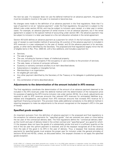the next tax year. If a taxpayer does not use the deferral method for an advance payment, the payment must be included in income in the year it is received or becomes due.

No changes were made to the definition of an advance payment in the final regulations. Note that if a type of payment is not an "advance payment" under the final regulations, the payment is subject to the default rules under section 451(b), and may be subject to inclusion upon receipt, or a later year in certain cases. For example, an advance payment of rental income is not an advance payment, but if the rental agreement is subject to the special method of accounting under section 467, the advance payment may be subject to inclusion in a later year based on a the rent allocation schedule in the rental agreement.

Section 451(c)(4) defines an advance payment as a payment for which (1) the full inclusion method in the year of receipt is a permissible method of accounting; (2) a portion of the advance payment is included in AFS revenues in a year subsequent to the year of receipt, and (3) the advance payment is for services, goods, or other items identified by the Secretary. The proposed and final regulations largely mirror the list of eligible items in Rev. Proc. 2004-34, with a few additions, and includes a payment for:

- Services;
- The sale of goods;
- The use, including by license or lease, of intellectual property;
- The occupancy or use of property if the occupancy or use is ancillary to the provision of services;
- The sale, lease, or license of computer software;
- Guaranty or warranty contracts ancillary to an item described above;
- Subscriptions in tangible or intangible format;
- Memberships in an organization;
- An eligible gift card sale;
- Any other payment identified by the Secretary of the Treasury or his delegate in published guidance; and
- Any combination of items described above.

### <span id="page-6-0"></span>**Adjustments to the determination of the amount included in AFS revenue**

The final regulations coordinate the determination of the amount of an advance payment deemed to be included in the AFS revenues under the deferral method with the determination of the transaction price for purposes of applying the AFS income inclusion rule under section 451(b). As a result, adjustments are required to add to AFS revenues amounts that reduced AFS revenues for anticipated liabilities (e.g., rebates and chargebacks), and subtract from AFS revenues amounts that increase AFS revenue for a significant financing component. This provision likely adds additional complexity to the deferral method in requiring taxpayers to make tax adjustments to the amount recognized on the taxpayer's AFS in the year of receipt.

### <span id="page-6-1"></span>**Specified goods exception**

An important exclusion from the definition of advance payment in the proposed and final regulations is the exception for advance payments for "specified goods" that are received two years or more before the tax year of the contractual delivery date. The final regulations define the "contractual delivery date" as the month and year of delivery listed in the written contract and "specified good" as a good for which: (1) the taxpayer does not have the goods of a substantially similar kind and in a sufficient quantity at the end of the tax year the upfront payment is received; and (2) the taxpayer recognizes all of the revenue from the sale of the good in its AFS in the year of delivery. Thus, a taxpayer that receives advance payments for specified goods must analyze the proper year for inclusion under the general principles of sections 451(a) and 451(b), unless, as discussed below, the taxpayer chooses to not apply the specified goods exception.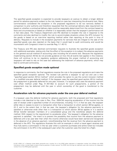The specified goods exception is expected to provide taxpayers an avenue to obtain a longer deferral period for advance payments subject to the rule, based on case law interpreting the all-events test. Many commentators considered the exception in the proposed regulations to be too narrowly drafted in comparison to prior authority and therefore requested that the contractual delivery date requirement be based on whether a contractual delivery date could be reasonably determined from the contract based on facts and circumstances or based on whether it is reasonably certain that the taxpayer's performance will in fact take place. The Treasury Department and IRS declined to broaden the rule in response to the comments and also declined to modify the rule to accommodate situations where the AFS inclusion for the goods is based on an over-time reporting method rather than reporting at the point in time of delivery. Requests to include in the exception payments for services that are integral to the sale of the specified goods was also rejected on the basis that it would lead to audit controversy and would be inconsistent with Congress's intent to override Reg. § 1.451-5.

The Treasury and IRS also declined commentator requests to illustrate the specified goods exception with additional examples, stating only that the effect of the exception is to subject the advance payments to the general accrual method of accounting rules including the all events test. Because the regulations implementing section 451(b) do not provide guidance on how the all events test applies in this instance, there will continue to be no regulatory guidance addressing the proper method of accounting and taxpayers will need to rely on the case law addressing the treatment of advance payments, which may lead to continued controversy.

### <span id="page-7-0"></span>**Specified goods exception made optional**

In response to comments, the final regulations reverse the rule in the proposed regulations and make the specified goods exception optional. The revised rule permits a taxpayer to opt out and use a new "specified good section 451(c) method" which provides the option to use the current inclusion method or a modified one-year deferral method. If the taxpayer uses the specified good section 451(c) method, the prepayment is generally deferred for one year; however, if a taxpayer also uses the advance payment cost offset method under Reg. §1.451-8(e) to account for such prepayments, a portion of the prepayment may be deferred until the year in which ownership of the good is transferred to the customer.

### <span id="page-7-1"></span>**Acceleration rule for advance payments under the one-year deferral method**

If a taxpayer uses the deferral method for advance payments, both the proposed and final regulations include a rule (identical to the rules in Rev. Proc. 2004-34) requiring acceleration of the income into the year of receipt under a specified number of circumstances, including: (1) if, in that tax year, the taxpayer either dies or ceases to exist in a transaction other than a transaction to which section 381(a) applies, or (2) if, and to the extent that, in that tax year, the taxpayer's obligation for the advance payments is satisfied or otherwise ends other than in a transaction to which section 381(a) applies or in a section 351(a) transfer between members of a consolidated group and the transferee adopts the deferral method. With respect to the requirement to accelerate when "the taxpayer's obligation for the advance payment is satisfied," the intent is to prevent the possibility that income from the advance payment is deferred until a tax year later than when the income otherwise would have been earned and recognized in the absence of an advance payment, notwithstanding that the revenue from the advance payment is deferred in the AFS. The regulations illustrate this with an example in which a travel agent receives and thus fully earns a commission in the tax year when a customer purchases and airline ticket but includes the commission in its AFS in the subsequent year when the customer uses the ticket for a flight.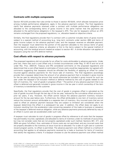### <span id="page-8-0"></span>**Contracts with multiple components**

Section 451(c)(4) provides that rules similar to those in section 451(b)(4), which allocate transaction price among multiple performance obligations, apply in the advance payment context. The final regulations clarify that advance payments received under a contract with multiple performance obligations are allocated to the corresponding items of gross income in the same manner that the payments are allocated to the performance obligations in the taxpayer's AFS. The rule for taxpayers without an AFS remains unchanged from the proposed regulations, i.e., allocation based on objective criteria.

Similarly, the final regulations provide that if a contract with a customer includes items of gross income subject to a special method of accounting (e.g., long term contracts under section 460) and items of gross income subject to the advance payment rules, and the taxpayer receives an allocable payment, then the taxpayer must determine the portion of the payment allocable to the various items of gross income based on objective criteria; an allocation is first to the items subject to the special method of accounting, with the residual amount treated as subject to section 451. A similar allocation rule applies to taxpayers using the non-AFS deferral method.

### <span id="page-8-1"></span>**Cost offsets with respect to advance payments**

The proposed regulations did not provide for an offset for costs attributable to advance payments. Under prior law, there was such a cost offset only in limited circumstances under Reg. §1.451-5 and not at all under Rev. Proc. 2004-34. Treasury and IRS considered comments on the proposed regulations and determined that a cost offset based on estimates of future costs would be inappropriate, but agreed with comments suggesting that taxpayers should be afforded the flexibility of applying an offset for costs incurred against advance payments for the future sale of inventory. The final regulations accordingly provide that a taxpayer determines the amount of an advance payment that is included in gross income for the tax year by reducing the amount that would otherwise be included in gross income for such tax year under the taxpayer's full inclusion method or deferral method by the cost of goods related to the item of inventory, the "cost of goods in progress offset." The portion of any advance payment that is so offset is deferred and generally included in gross income in the tax year in which ownership of the item of inventory is transferred to the customer.

Specifically, the final regulations provide that the cost of goods in progress offset is calculated as the cost of goods incurred through the last day of the tax year, reduced by the cumulative offset amounts in prior tax years, if any. However, the offset cannot reduce the advance payment inventory inclusion amount for the tax year below zero. Furthermore, the offset attributable to one item of inventory cannot reduce the inclusion amount attributable to a separate item of inventory. Any incurred costs that are not used to offset an advance payment because they are subject to limitation are considered when the taxpayer determines the offset in a subsequent tax year. In addition, the offset does not apply to an inclusion resulting from the acceleration rules concerning cessation of the trade or business or cessation of the taxpayer's deferred revenue obligation, while any advance payments previously deferred by way of an offset in a prior year are accelerated under such rules.

A taxpayer must calculate its cost of goods in progress offset by reference to all costs that the taxpayer has permissibly incurred, capitalized, and allocated to items of inventory under its methods of accounting, but may not consider costs that are not properly capitalized under such method. Sections 461, 471, and 263A are given full effect; thus, estimates of future costs are not permitted, and any incurred costs that are properly allocable to the inventory at issue must be so allocated. For a sale of a gift card or customer reward program points, no offset is permitted. The advance payment cost offset method is a method of accounting that applies to all advance payments received by a trade or business for items of inventory that satisfy the regulatory criteria. If a taxpayer chooses to use the advance payment cost offset method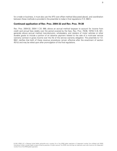for a trade or business, it must also use the AFS cost offset method (discussed above), and coordination between these methods is provided in the preamble to today's final regulations (T.D. 9941).

### <span id="page-9-0"></span>**Continued application of Rev. Proc. 2004-32 and Rev. Proc. 79-38**

Rev. Proc. 2004-32, 2004-1 C.B. 988, allows an accrual method taxpayer to account for income from credit card annual fees ratably over the period covered by the fees. Rev. Proc. 79-38, 1979-2 C.B. 501, generally allows accrual method manufacturers, wholesalers, and retailers of motor vehicles or other durable goods to include a portion of an advance payment related to the sale of a multi-year service warranty contract in gross income over the life of the service warranty obligation. The preamble to T.D. 9941 clarifies that both of these revenue procedures remain effective after the enactment of section 451(c) and may be relied upon after promulgation of the final regulations.